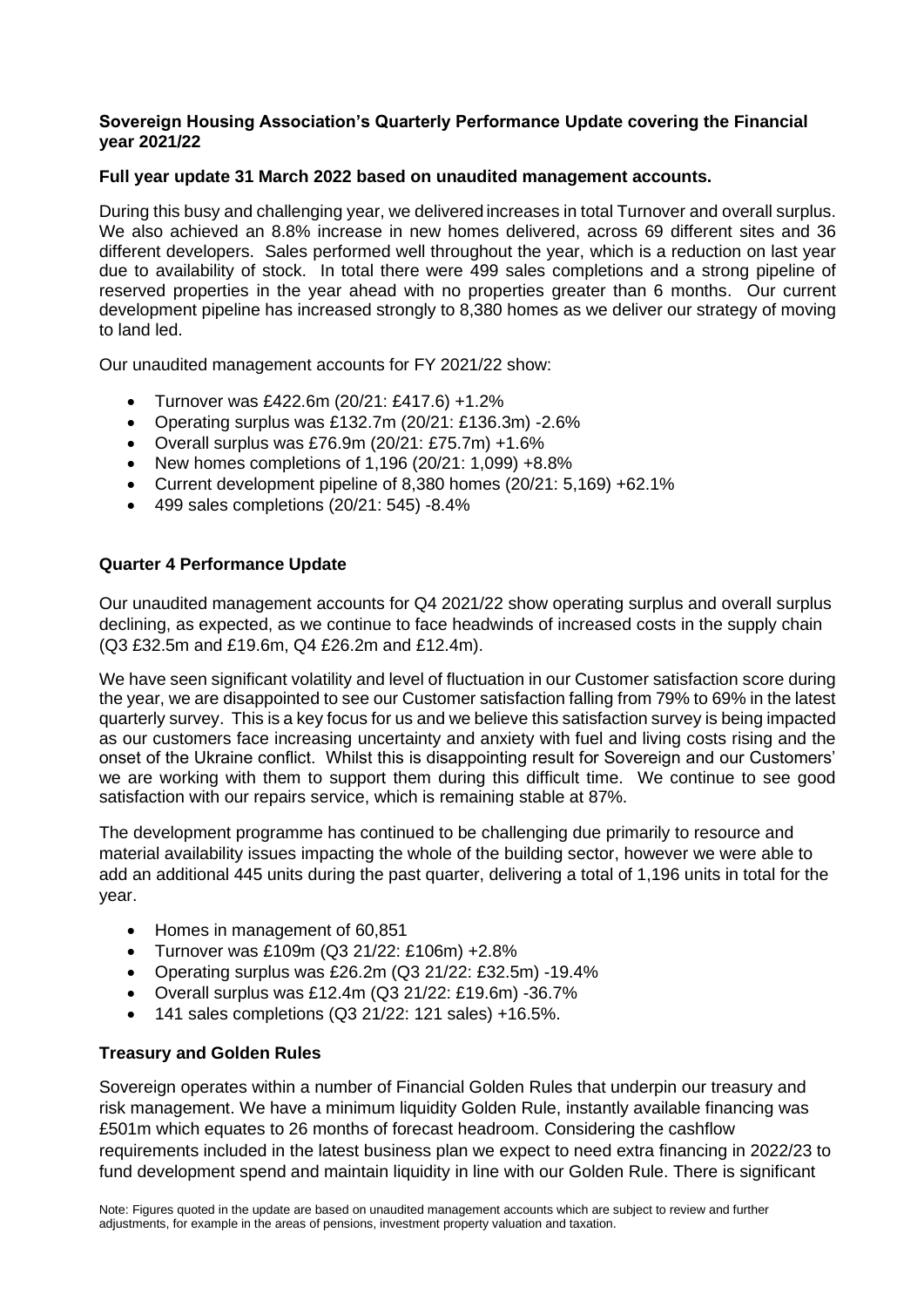## **Sovereign Housing Association's Quarterly Performance Update covering the Financial year 2021/22**

# **Full year update 31 March 2022 based on unaudited management accounts.**

During this busy and challenging year, we delivered increases in total Turnover and overall surplus. We also achieved an 8.8% increase in new homes delivered, across 69 different sites and 36 different developers. Sales performed well throughout the year, which is a reduction on last year due to availability of stock. In total there were 499 sales completions and a strong pipeline of reserved properties in the year ahead with no properties greater than 6 months. Our current development pipeline has increased strongly to 8,380 homes as we deliver our strategy of moving to land led.

Our unaudited management accounts for FY 2021/22 show:

- Turnover was £422.6m (20/21: £417.6) +1.2%
- Operating surplus was £132.7m (20/21: £136.3m) -2.6%
- Overall surplus was £76.9m  $(20/21: E75.7m) + 1.6%$
- New homes completions of  $1,196$  ( $20/21: 1,099$ ) +8.8%
- Current development pipeline of 8,380 homes (20/21: 5,169) +62.1%
- 499 sales completions (20/21: 545) -8.4%

# **Quarter 4 Performance Update**

Our unaudited management accounts for Q4 2021/22 show operating surplus and overall surplus declining, as expected, as we continue to face headwinds of increased costs in the supply chain (Q3 £32.5m and £19.6m, Q4 £26.2m and £12.4m).

We have seen significant volatility and level of fluctuation in our Customer satisfaction score during the year, we are disappointed to see our Customer satisfaction falling from 79% to 69% in the latest quarterly survey. This is a key focus for us and we believe this satisfaction survey is being impacted as our customers face increasing uncertainty and anxiety with fuel and living costs rising and the onset of the Ukraine conflict. Whilst this is disappointing result for Sovereign and our Customers' we are working with them to support them during this difficult time. We continue to see good satisfaction with our repairs service, which is remaining stable at 87%.

The development programme has continued to be challenging due primarily to resource and material availability issues impacting the whole of the building sector, however we were able to add an additional 445 units during the past quarter, delivering a total of 1,196 units in total for the year.

- Homes in management of 60,851
- Turnover was £109m (Q3 21/22: £106m) +2.8%
- Operating surplus was £26.2m (Q3 21/22: £32.5m) -19.4%
- Overall surplus was £12.4m (Q3 21/22: £19.6m) -36.7%
- 141 sales completions (Q3 21/22: 121 sales) +16.5%.

# **Treasury and Golden Rules**

Sovereign operates within a number of Financial Golden Rules that underpin our treasury and risk management. We have a minimum liquidity Golden Rule, instantly available financing was £501m which equates to 26 months of forecast headroom. Considering the cashflow requirements included in the latest business plan we expect to need extra financing in 2022/23 to fund development spend and maintain liquidity in line with our Golden Rule. There is significant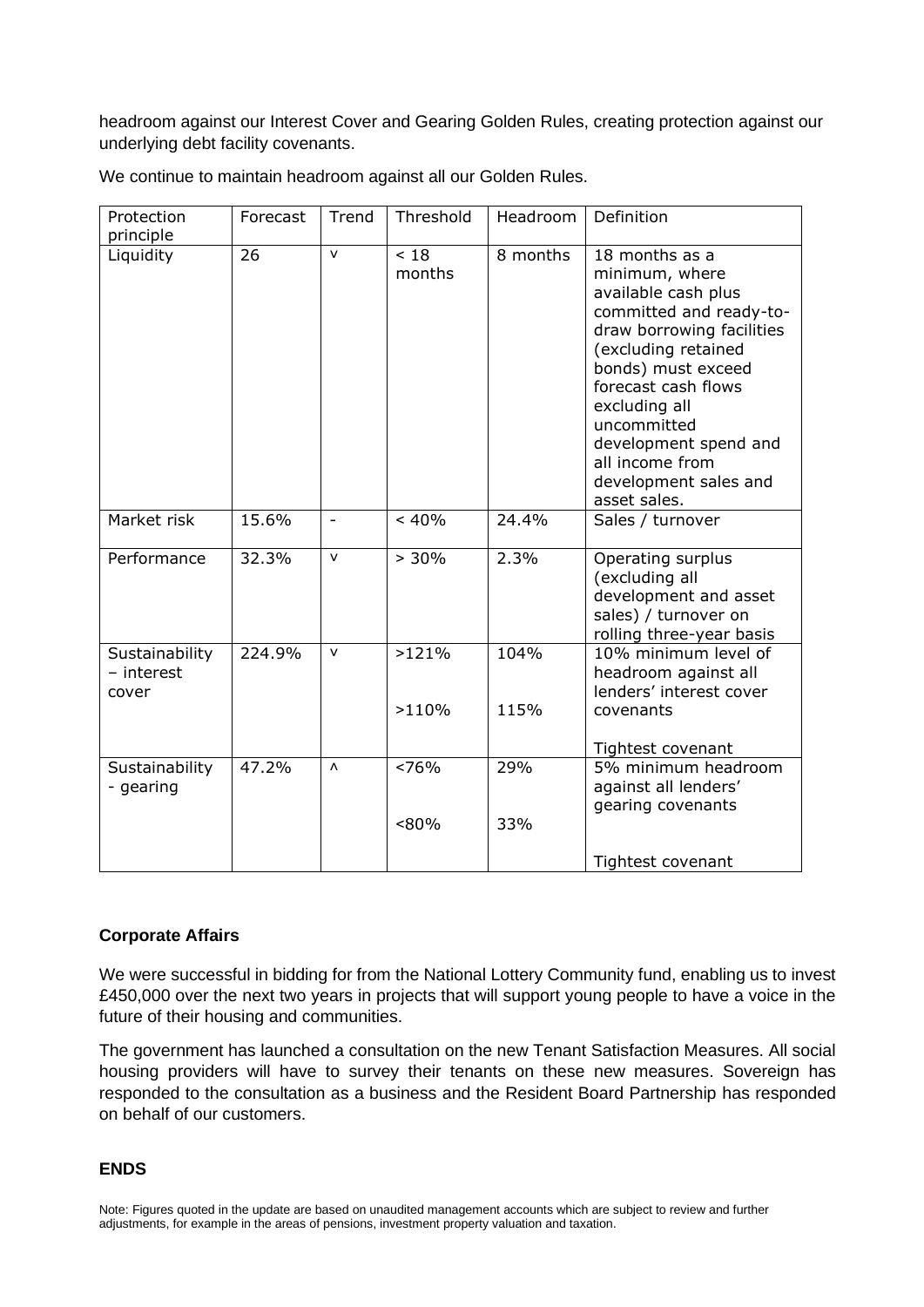headroom against our Interest Cover and Gearing Golden Rules, creating protection against our underlying debt facility covenants.

| Protection<br>principle               | Forecast | Trend                    | Threshold      | Headroom     | Definition                                                                                                                                                                                                                                                                                               |
|---------------------------------------|----------|--------------------------|----------------|--------------|----------------------------------------------------------------------------------------------------------------------------------------------------------------------------------------------------------------------------------------------------------------------------------------------------------|
| Liquidity                             | 26       | $\mathsf{v}$             | ~18<br>months  | 8 months     | 18 months as a<br>minimum, where<br>available cash plus<br>committed and ready-to-<br>draw borrowing facilities<br>(excluding retained<br>bonds) must exceed<br>forecast cash flows<br>excluding all<br>uncommitted<br>development spend and<br>all income from<br>development sales and<br>asset sales. |
| Market risk                           | 15.6%    | $\overline{\phantom{a}}$ | < 40%          | 24.4%        | Sales / turnover                                                                                                                                                                                                                                                                                         |
| Performance                           | 32.3%    | $\mathsf{v}$             | > 30%          | 2.3%         | Operating surplus<br>(excluding all<br>development and asset<br>sales) / turnover on<br>rolling three-year basis                                                                                                                                                                                         |
| Sustainability<br>- interest<br>cover | 224.9%   | v                        | >121%<br>>110% | 104%<br>115% | 10% minimum level of<br>headroom against all<br>lenders' interest cover<br>covenants                                                                                                                                                                                                                     |
|                                       |          |                          |                |              | Tightest covenant                                                                                                                                                                                                                                                                                        |
| Sustainability<br>- gearing           | 47.2%    | Λ                        | ~576%<br>< 80% | 29%<br>33%   | 5% minimum headroom<br>against all lenders'<br>gearing covenants                                                                                                                                                                                                                                         |
|                                       |          |                          |                |              | Tightest covenant                                                                                                                                                                                                                                                                                        |

We continue to maintain headroom against all our Golden Rules.

# **Corporate Affairs**

We were successful in bidding for from the National Lottery Community fund, enabling us to invest £450,000 over the next two years in projects that will support young people to have a voice in the future of their housing and communities.

The government has launched a [consultation](https://www.gov.uk/government/consultations/consultation-on-the-introduction-of-tenant-satisfaction-measures) on the new Tenant Satisfaction Measures. All social housing providers will have to survey their tenants on these new measures. Sovereign has responded to the consultation as a business and the Resident Board Partnership has responded on behalf of our customers.

# **ENDS**

Note: Figures quoted in the update are based on unaudited management accounts which are subject to review and further adjustments, for example in the areas of pensions, investment property valuation and taxation.